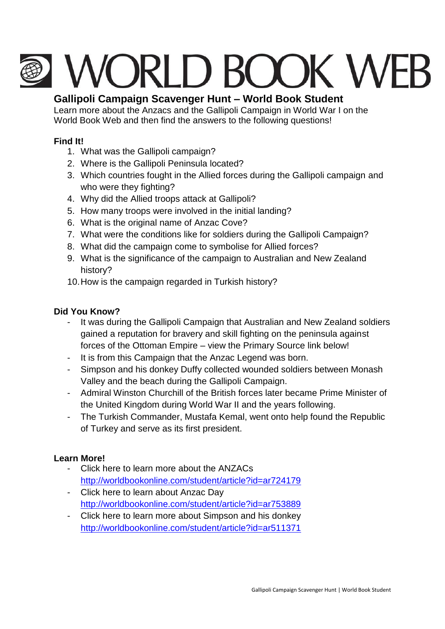# **I WORLD BOOK WEE**

# **Gallipoli Campaign Scavenger Hunt – World Book Student**

Learn more about the Anzacs and the Gallipoli Campaign in World War I on the World Book Web and then find the answers to the following questions!

### **Find It!**

- 1. What was the Gallipoli campaign?
- 2. Where is the Gallipoli Peninsula located?
- 3. Which countries fought in the Allied forces during the Gallipoli campaign and who were they fighting?
- 4. Why did the Allied troops attack at Gallipoli?
- 5. How many troops were involved in the initial landing?
- 6. What is the original name of Anzac Cove?
- 7. What were the conditions like for soldiers during the Gallipoli Campaign?
- 8. What did the campaign come to symbolise for Allied forces?
- 9. What is the significance of the campaign to Australian and New Zealand history?
- 10.How is the campaign regarded in Turkish history?

### **Did You Know?**

- It was during the Gallipoli Campaign that Australian and New Zealand soldiers gained a reputation for bravery and skill fighting on the peninsula against forces of the Ottoman Empire – view the Primary Source link below!
- It is from this Campaign that the Anzac Legend was born.
- Simpson and his donkey Duffy collected wounded soldiers between Monash Valley and the beach during the Gallipoli Campaign.
- Admiral Winston Churchill of the British forces later became Prime Minister of the United Kingdom during World War II and the years following.
- The Turkish Commander, Mustafa Kemal, went onto help found the Republic of Turkey and serve as its first president.

# **Learn More!**

- Click here to learn more about the ANZACs <http://worldbookonline.com/student/article?id=ar724179>
- Click here to learn about Anzac Day <http://worldbookonline.com/student/article?id=ar753889>
- Click here to learn more about Simpson and his donkey <http://worldbookonline.com/student/article?id=ar511371>